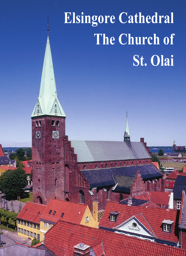## **Elsingore Cathedral The Church of St. Olai**

anna

田

X

 $(11.1)$ 

 $\overline{c}$ 

U D

Du

4

 $\overline{0}$ 

**III**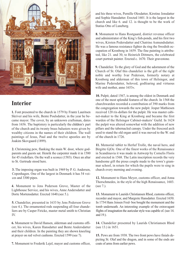

## **Interior**

**1.** Font presented to the church in 1579 by Frantz Lauritsen Skriver and his wife, Bente Poulsdatter, in the year he became mayor. The cover, by an unknown craftsman, dates from 1656. The baptistery is particularly the children's part of the church and its twenty brass balusters were given by wealthy citizens in the names of their children. The wall paintings of Jesus, Paul and the twelve apostles are by Joakim Skovgaard (1899).

**2.** Christening pew, flanking the main W. door, where godparents and guests sat. Henrik the carpenter made it in 1580 for 45 rixdollars. On the wall a sconce (1583). Once an altar to St. Gertrude stood here.

**3.** The imposing organ was built in 1969 by P. G. Andersen, Copenhagen. One of the largest in Denmark it has 54 voices and 3300 pipes.

**4.** Monument to Jens Pederson Grove, Master of the Lighthouse Service, and his wives, Anne Andersdatter and Dorte Mortensdatter. Erected 1640.(see 5.).

**5.** Chandelier, presented in 1633 by Jens Pederson Grove (see 4.). The ornamented rods suspending all four chandeliers are by Casper Firicke, master metal smith to Christian IV.

**6.** Monument to David Hansen, alderman and customs officer, his wives, Karen Hansdatter and Bente Andersdatter and their children. In the painting they are shown kneeling at prayer on red velvet cushions. Erected 1599 (see 7).

**7.** Monument to Frederik Lejel, mayor and customs officer,

and his three wives, Pernille Olesdatter, Kirstine Jensdatter and Sophie Hansdatter. Erected 1601. It is the largest in the church and like 6. and 12. is thought to be the work of Statius Otto of Luneberg.

**8.** Monument to Hans Rostgaard, district revenue officer and administrator of the King's fish-ponds, and his first two wives, Kirsten Pedersdatter and Chatrine Asmundsdatter. He was a famous resistance fighter du ring the Swedish occupation of Kronborg in 1659. The fine painting is attributed, like 21. and 30, to Heinrich Dittmers, the celebrated court portrait painter. Erected c. 1670. Their gravestone.

**9.** Chandelier. To the glory of God and the adornment of the Church of St. Olaf this chandelier is the gift of the right noble and worthy Ivar Pederson, formerly notary at Kronborg and alderman of this town of Helsingor, and Marine Pedersdatter, beloved, godfearing and virtuous wife and mother, anno 1653«.

**10.** Pulpit, dated 1567, is among the oldest in Denmark and one of the most splendid features of the church. In 1568 the churchwarden recorded a contribution of 390 marks from the congregation towards the new pulpit. Jesper Mathiesen received 120 rix-dollars for the pulpit. He was master cabinet-maker to the King at Kronborg and became the first warden of the Helsingor Cabinet-makers' Guild. In 1624 the pulpit was altered somewhat with the addition of new pillars and the tabernacled canopy. Under the frescoed arch used to stand the old organ until it was moved to the W. end of the church in 1726.

**11.** Memorial tablet to Herluf Trolle, the naval hero, and Birgitte GjOe. One of the finest works of the Renaissance in Scandinavia it was made in Antwerp by Cornelis Floris and erected in 1568. The Latin inscription records the very handsome gift the pious couple made to the town's grammar school, in return for which the pupils were to sing in church every morning and evening.

**12.** Monument to Hans Meyer, customs officer, and Anna Thorschmedes, in the style of the high Renaissance, 1603. (see 7.).

**13.** Monument to Laurids Christiansen Rhod, customs officer, recorder and mayor, and Margrete Hansdatter. Erected 1650. In 1754 Hans Jensen Fred- boe bought the monument and the tomb underneath. An interesting example of the extravagant flights of imagination the auricular style was capable of. (see 14. and 19.).

**14.** Chandelier presented by Laurids Christiansen Rhod (see 13.) in 1651.

**15.** Pews are from 1938. The two front pews have finials depicting St. Olaf and the dragon, and in some of the ends are coats of arms from earlier pews.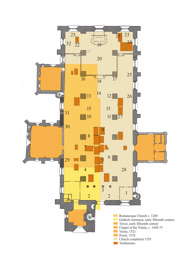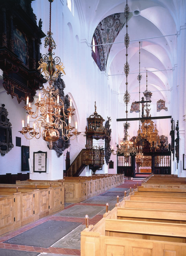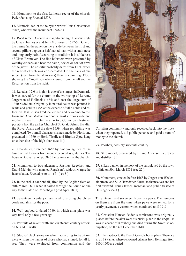**16.** Monument to the first Lutheran rector of the church, Peder Samsing Erected 1576.

**17.** Memorial tablet to the hymn writer Hans Christensen Sthen, who was the incumbent 1566-83.

**18.** Rood screen. Carved in magnificent high Baroque style by Claus Brameyer and Jens Mortensen, 1652-53. One of the herms (in the panel on the S. side between the first and second pillar) depicts a half-naked man with a snub nose and long curly hair. According to tradition it is a likeness of Claus Brameyer. The fine balusters were presented by wealthy citizens and bear the name, device or coat of arms of the giver. The crucifix probably dates from 1521, when the rebuilt church was consecreated. On the back of the screen (seen from the altar- rails) there is a painting (1730) showing the Crucifixion when viewed from the left and the Resurrection from the right.

**19.**Reredos. 12.0 m high it is one of the largest in Denmark. It was carved for the church in the workshop of Lorentz Jørgensen of Holbaek (1664) and cost the large sum of 1350 rixdollars. Originally in natural oak it was painted in white and gold in 1755 at the expense of »the noble and esteemed Hans Jensen Fredboe, citizen and newcomer to this town and Anne Malene Fredboe, a most virtuous wife and mother«. (see 13.) On the altar two Gothic candlesticks, possibly fron the earlier Church of St. Olaf. Behind the altar the Royal Arms and the date 1559, when rebuilding was completed. Two small alabaster shrines, made by Floris and presented in 1560 by Herluf Trolle and Birgitte Gjoe, hang on either side of the high altar. (see 11.).

**20.** Chandelier, presented 1662 by nine young men of the Guild of Pall Bearers from money received as gratuities. The figure on top is that of St. Olaf, the patron saint of the church.

**21.** Monument to two aldermen, Rasmus Regelsen and David Melvin, who married Regelsen's widow, Margrethe Jacobsdatter. Erected prior to 1671 (see 8.).

**22.** In the arch a cannonball, fired by the English fleet on 30th March 1801 when it sailed through the Sound on the way to the Battle of Copenhagen (2nd April 1801).

**23.** Seventeenth century chests used for storing church records and alms for the poor.

**24.** Wall cupboard, dated 1680, in which altar plate was kept until only a few years ago.

**25.** Portraits of seventeenth and eighteenth century rectors on N. and S. walls.

**26.** Slab of black stone on which according to tradition, were written the names of those who had sinned, for all to see. They were excluded from communion and the



Christian community and only received back into the flock when they repented, did public penance and paid a sum of money to the church.

**27.** Poorbox, possibly sixteenth century.

**28.** Ship model, presented by Erland Andersen, a brewer and distiller 1761.

**29.** Silken banner, in memory of the part played by the town militia on 30th March 1801 (see 22.).

**30.** Monument, erected before 1668 by Jørgen von Weelen, alderman, and Sille Hansdatter Kruse, to themselves and her first husband Claus Clausen, merchant and public trustee of Helsingor (see 8.).

**31.** Sixteenth and seventeenth century pews. The numbers on them are from the time when pews were rented for a yearly payment, a custom which continued until 1915.

**32.** Christian Hansen Baden's tombstone was originally placed before the alter over his burial place in the crypt. He was in charge of Kronborg and died during the Swedish occupation, on the 4th December 1618.

**33.** The trapdoor to the French Consuls burial place. There are in all 18 vantts, where renowned citizens from Helsingør from 1600-1700 are buried.